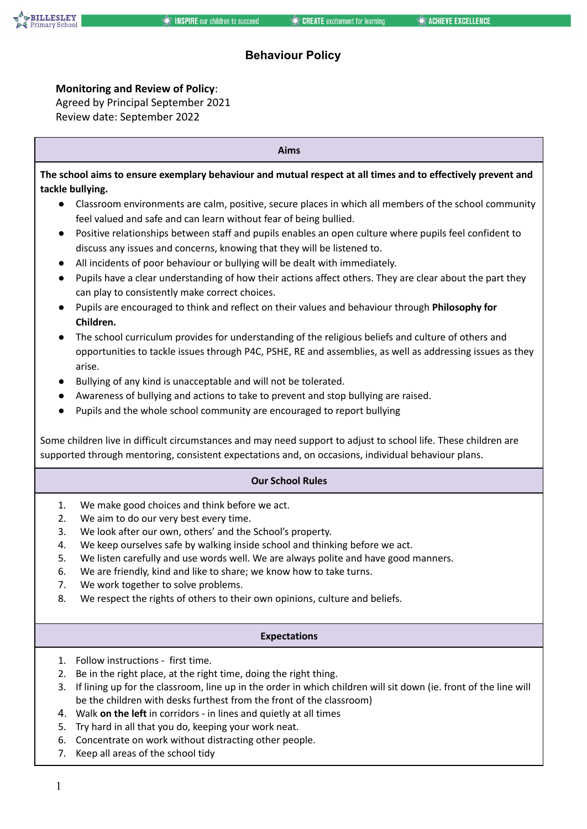

### **Monitoring and Review of Policy**:

Agreed by Principal September 2021 Review date: September 2022

**Aims** The school aims to ensure exemplary behaviour and mutual respect at all times and to effectively prevent and **tackle bullying.** ● Classroom environments are calm, positive, secure places in which all members of the school community feel valued and safe and can learn without fear of being bullied. ● Positive relationships between staff and pupils enables an open culture where pupils feel confident to discuss any issues and concerns, knowing that they will be listened to. All incidents of poor behaviour or bullying will be dealt with immediately. ● Pupils have a clear understanding of how their actions affect others. They are clear about the part they can play to consistently make correct choices. ● Pupils are encouraged to think and reflect on their values and behaviour through **Philosophy for Children.** ● The school curriculum provides for understanding of the religious beliefs and culture of others and opportunities to tackle issues through P4C, PSHE, RE and assemblies, as well as addressing issues as they arise. ● Bullying of any kind is unacceptable and will not be tolerated. ● Awareness of bullying and actions to take to prevent and stop bullying are raised. ● Pupils and the whole school community are encouraged to report bullying Some children live in difficult circumstances and may need support to adjust to school life. These children are supported through mentoring, consistent expectations and, on occasions, individual behaviour plans. **Our School Rules** 1. We make good choices and think before we act. 2. We aim to do our very best every time. 3. We look after our own, others' and the School's property. 4. We keep ourselves safe by walking inside school and thinking before we act.

- 5. We listen carefully and use words well. We are always polite and have good manners.
- 6. We are friendly, kind and like to share; we know how to take turns.
- 7. We work together to solve problems.
- 8. We respect the rights of others to their own opinions, culture and beliefs.

### **Expectations**

- 1. Follow instructions first time.
- 2. Be in the right place, at the right time, doing the right thing.
- 3. If lining up for the classroom, line up in the order in which children will sit down (ie. front of the line will be the children with desks furthest from the front of the classroom)
- 4. Walk **on the left** in corridors in lines and quietly at all times
- 5. Try hard in all that you do, keeping your work neat.
- 6. Concentrate on work without distracting other people.
- 7. Keep all areas of the school tidy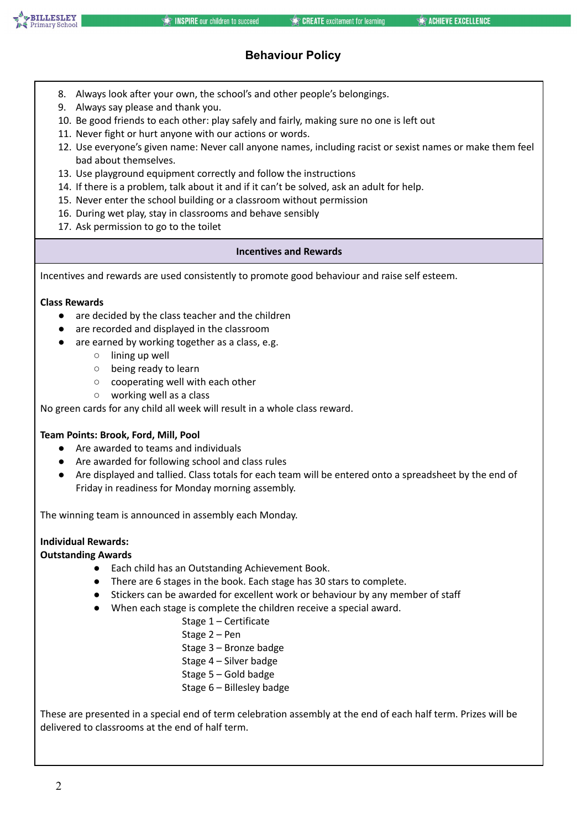- 8. Always look after your own, the school's and other people's belongings.
- 9. Always say please and thank you.
- 10. Be good friends to each other: play safely and fairly, making sure no one is left out
- 11. Never fight or hurt anyone with our actions or words.
- 12. Use everyone's given name: Never call anyone names, including racist or sexist names or make them feel bad about themselves.
- 13. Use playground equipment correctly and follow the instructions
- 14. If there is a problem, talk about it and if it can't be solved, ask an adult for help.
- 15. Never enter the school building or a classroom without permission
- 16. During wet play, stay in classrooms and behave sensibly
- 17. Ask permission to go to the toilet

### **Incentives and Rewards**

Incentives and rewards are used consistently to promote good behaviour and raise self esteem.

### **Class Rewards**

- are decided by the class teacher and the children
- are recorded and displayed in the classroom
- are earned by working together as a class, e.g.
	- lining up well
	- being ready to learn
	- cooperating well with each other
	- working well as a class

No green cards for any child all week will result in a whole class reward.

## **Team Points: Brook, Ford, Mill, Pool**

- Are awarded to teams and individuals
- Are awarded for following school and class rules
- Are displayed and tallied. Class totals for each team will be entered onto a spreadsheet by the end of Friday in readiness for Monday morning assembly.

The winning team is announced in assembly each Monday.

### **Individual Rewards:**

### **Outstanding Awards**

- Each child has an Outstanding Achievement Book.
- There are 6 stages in the book. Each stage has 30 stars to complete.
- Stickers can be awarded for excellent work or behaviour by any member of staff
- When each stage is complete the children receive a special award.
	- Stage 1 Certificate
	- Stage 2 Pen
	- Stage 3 Bronze badge
	- Stage 4 Silver badge
	- Stage 5 Gold badge
	- Stage 6 Billesley badge

These are presented in a special end of term celebration assembly at the end of each half term. Prizes will be delivered to classrooms at the end of half term.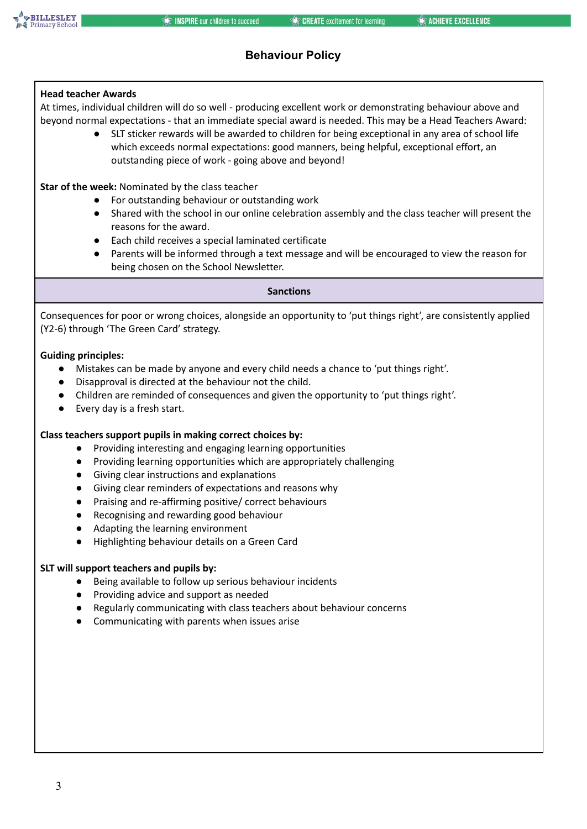

### **Head teacher Awards**

At times, individual children will do so well - producing excellent work or demonstrating behaviour above and beyond normal expectations - that an immediate special award is needed. This may be a Head Teachers Award:

> ● SLT sticker rewards will be awarded to children for being exceptional in any area of school life which exceeds normal expectations: good manners, being helpful, exceptional effort, an outstanding piece of work - going above and beyond!

**Star of the week:** Nominated by the class teacher

- For outstanding behaviour or outstanding work
- Shared with the school in our online celebration assembly and the class teacher will present the reasons for the award.
- Each child receives a special laminated certificate
- Parents will be informed through a text message and will be encouraged to view the reason for being chosen on the School Newsletter.

#### **Sanctions**

Consequences for poor or wrong choices, alongside an opportunity to 'put things right', are consistently applied (Y2-6) through 'The Green Card' strategy.

#### **Guiding principles:**

- Mistakes can be made by anyone and every child needs a chance to 'put things right'.
- Disapproval is directed at the behaviour not the child.
- Children are reminded of consequences and given the opportunity to 'put things right'.
- Every day is a fresh start.

#### **Class teachers support pupils in making correct choices by:**

- Providing interesting and engaging learning opportunities
- Providing learning opportunities which are appropriately challenging
- Giving clear instructions and explanations
- Giving clear reminders of expectations and reasons why
- Praising and re-affirming positive/ correct behaviours
- Recognising and rewarding good behaviour
- Adapting the learning environment
- Highlighting behaviour details on a Green Card

#### **SLT will support teachers and pupils by:**

- Being available to follow up serious behaviour incidents
- Providing advice and support as needed
- Regularly communicating with class teachers about behaviour concerns
- Communicating with parents when issues arise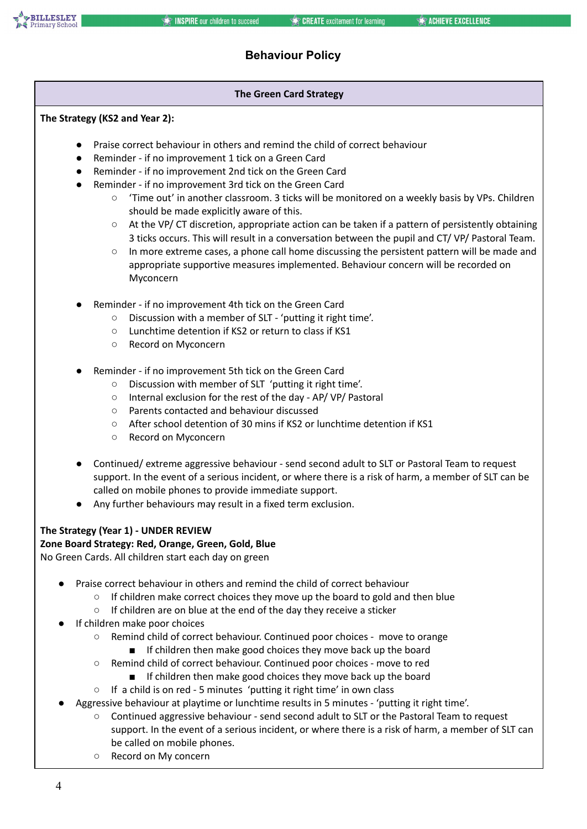### **The Green Card Strategy**

### **The Strategy (KS2 and Year 2):**

- Praise correct behaviour in others and remind the child of correct behaviour
- Reminder if no improvement 1 tick on a Green Card
- Reminder if no improvement 2nd tick on the Green Card
- Reminder if no improvement 3rd tick on the Green Card
	- 'Time out' in another classroom. 3 ticks will be monitored on a weekly basis by VPs. Children should be made explicitly aware of this.
	- At the VP/ CT discretion, appropriate action can be taken if a pattern of persistently obtaining 3 ticks occurs. This will result in a conversation between the pupil and CT/ VP/ Pastoral Team.
	- In more extreme cases, a phone call home discussing the persistent pattern will be made and appropriate supportive measures implemented. Behaviour concern will be recorded on Myconcern
- Reminder if no improvement 4th tick on the Green Card
	- Discussion with a member of SLT 'putting it right time'.
	- Lunchtime detention if KS2 or return to class if KS1
	- Record on Myconcern
- Reminder if no improvement 5th tick on the Green Card
	- Discussion with member of SLT 'putting it right time'.
	- Internal exclusion for the rest of the day AP/ VP/ Pastoral
	- Parents contacted and behaviour discussed
	- After school detention of 30 mins if KS2 or lunchtime detention if KS1
	- Record on Myconcern
- Continued/ extreme aggressive behaviour send second adult to SLT or Pastoral Team to request support. In the event of a serious incident, or where there is a risk of harm, a member of SLT can be called on mobile phones to provide immediate support.
- Any further behaviours may result in a fixed term exclusion.

### **The Strategy (Year 1) - UNDER REVIEW**

#### **Zone Board Strategy: Red, Orange, Green, Gold, Blue** No Green Cards. All children start each day on green

- Praise correct behaviour in others and remind the child of correct behaviour
	- If children make correct choices they move up the board to gold and then blue
	- If children are on blue at the end of the day they receive a sticker
- If children make poor choices
	- Remind child of correct behaviour. Continued poor choices move to orange
		- If children then make good choices they move back up the board
	- Remind child of correct behaviour. Continued poor choices move to red
		- If children then make good choices they move back up the board
	- If a child is on red 5 minutes 'putting it right time' in own class
- Aggressive behaviour at playtime or lunchtime results in 5 minutes 'putting it right time'.
	- Continued aggressive behaviour send second adult to SLT or the Pastoral Team to request support. In the event of a serious incident, or where there is a risk of harm, a member of SLT can be called on mobile phones.
	- Record on My concern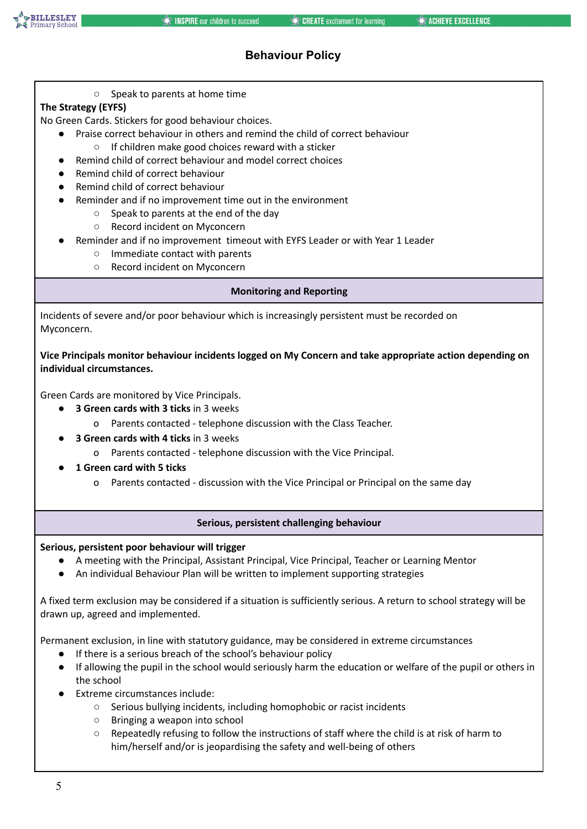

○ Speak to parents at home time

## **The Strategy (EYFS)**

No Green Cards. Stickers for good behaviour choices.

- Praise correct behaviour in others and remind the child of correct behaviour
	- If children make good choices reward with a sticker
- Remind child of correct behaviour and model correct choices
- Remind child of correct behaviour
- Remind child of correct behaviour
- Reminder and if no improvement time out in the environment
	- Speak to parents at the end of the day
	- Record incident on Myconcern
- Reminder and if no improvement timeout with EYFS Leader or with Year 1 Leader
	- Immediate contact with parents
	- Record incident on Myconcern

### **Monitoring and Reporting**

Incidents of severe and/or poor behaviour which is increasingly persistent must be recorded on Myconcern.

**Vice Principals monitor behaviour incidents logged on My Concern and take appropriate action depending on individual circumstances.**

Green Cards are monitored by Vice Principals.

- **3 Green cards with 3 ticks** in 3 weeks
	- o Parents contacted telephone discussion with the Class Teacher.
- **3 Green cards with 4 ticks** in 3 weeks
	- o Parents contacted telephone discussion with the Vice Principal.
- **1 Green card with 5 ticks**
	- o Parents contacted discussion with the Vice Principal or Principal on the same day

### **Serious, persistent challenging behaviour**

### **Serious, persistent poor behaviour will trigger**

- A meeting with the Principal, Assistant Principal, Vice Principal, Teacher or Learning Mentor
- An individual Behaviour Plan will be written to implement supporting strategies

A fixed term exclusion may be considered if a situation is sufficiently serious. A return to school strategy will be drawn up, agreed and implemented.

Permanent exclusion, in line with statutory guidance, may be considered in extreme circumstances

- If there is a serious breach of the school's behaviour policy
- If allowing the pupil in the school would seriously harm the education or welfare of the pupil or others in the school
- **Extreme circumstances include:** 
	- Serious bullying incidents, including homophobic or racist incidents
	- Bringing a weapon into school
	- Repeatedly refusing to follow the instructions of staff where the child is at risk of harm to him/herself and/or is jeopardising the safety and well-being of others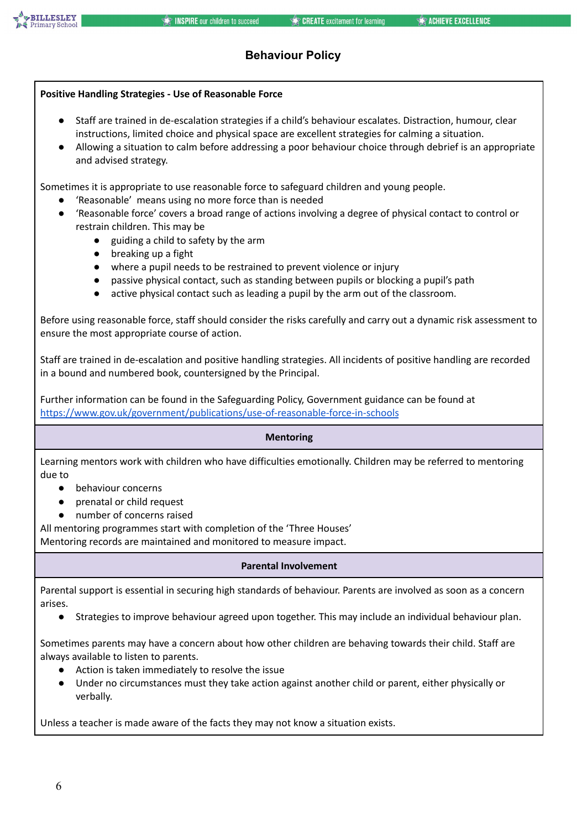

# **Positive Handling Strategies - Use of Reasonable Force** ● Staff are trained in de-escalation strategies if a child's behaviour escalates. Distraction, humour, clear instructions, limited choice and physical space are excellent strategies for calming a situation. ● Allowing a situation to calm before addressing a poor behaviour choice through debrief is an appropriate and advised strategy. Sometimes it is appropriate to use reasonable force to safeguard children and young people. ● 'Reasonable' means using no more force than is needed ● 'Reasonable force' covers a broad range of actions involving a degree of physical contact to control or restrain children. This may be ● guiding a child to safety by the arm breaking up a fight ● where a pupil needs to be restrained to prevent violence or injury passive physical contact, such as standing between pupils or blocking a pupil's path ● active physical contact such as leading a pupil by the arm out of the classroom. Before using reasonable force, staff should consider the risks carefully and carry out a dynamic risk assessment to ensure the most appropriate course of action. Staff are trained in de-escalation and positive handling strategies. All incidents of positive handling are recorded in a bound and numbered book, countersigned by the Principal. Further information can be found in the Safeguarding Policy, Government guidance can be found at <https://www.gov.uk/government/publications/use-of-reasonable-force-in-schools> **Mentoring** Learning mentors work with children who have difficulties emotionally. Children may be referred to mentoring due to ● behaviour concerns ● prenatal or child request ● number of concerns raised All mentoring programmes start with completion of the 'Three Houses' Mentoring records are maintained and monitored to measure impact. **Parental Involvement** Parental support is essential in securing high standards of behaviour. Parents are involved as soon as a concern arises. Strategies to improve behaviour agreed upon together. This may include an individual behaviour plan. Sometimes parents may have a concern about how other children are behaving towards their child. Staff are always available to listen to parents. ● Action is taken immediately to resolve the issue Under no circumstances must they take action against another child or parent, either physically or verbally. Unless a teacher is made aware of the facts they may not know a situation exists.